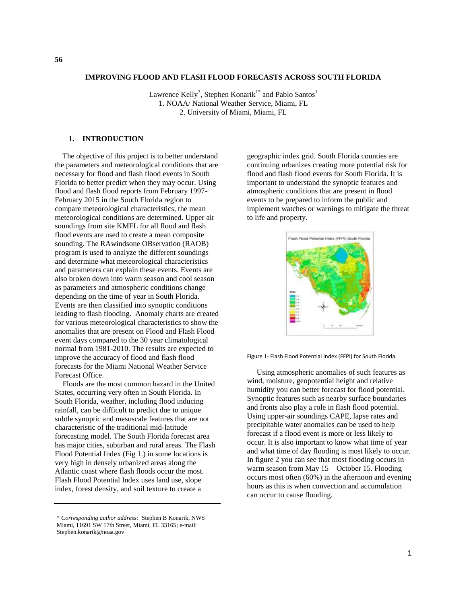#### **IMPROVING FLOOD AND FLASH FLOOD FORECASTS ACROSS SOUTH FLORIDA**

Lawrence Kelly<sup>2</sup>, Stephen Konarik<sup>1\*</sup> and Pablo Santos<sup>1</sup> 1. NOAA/ National Weather Service, Miami, FL 2. University of Miami, Miami, FL

#### **1. INTRODUCTION**

 The objective of this project is to better understand the parameters and meteorological conditions that are necessary for flood and flash flood events in South Florida to better predict when they may occur. Using flood and flash flood reports from February 1997- February 2015 in the South Florida region to compare meteorological characteristics, the mean meteorological conditions are determined. Upper air soundings from site KMFL for all flood and flash flood events are used to create a mean composite sounding. The RAwindsone OBservation (RAOB) program is used to analyze the different soundings and determine what meteorological characteristics and parameters can explain these events. Events are also broken down into warm season and cool season as parameters and atmospheric conditions change depending on the time of year in South Florida. Events are then classified into synoptic conditions leading to flash flooding. Anomaly charts are created for various meteorological characteristics to show the anomalies that are present on Flood and Flash Flood event days compared to the 30 year climatological normal from 1981-2010. The results are expected to improve the accuracy of flood and flash flood forecasts for the Miami National Weather Service Forecast Office.

 Floods are the most common hazard in the United States, occurring very often in South Florida. In South Florida, weather, including flood inducing rainfall, can be difficult to predict due to unique subtle synoptic and mesoscale features that are not characteristic of the traditional mid-latitude forecasting model. The South Florida forecast area has major cities, suburban and rural areas. The Flash Flood Potential Index (Fig 1.) in some locations is very high in densely urbanized areas along the Atlantic coast where flash floods occur the most. Flash Flood Potential Index uses land use, slope index, forest density, and soil texture to create a

geographic index grid. South Florida counties are continuing urbanizes creating more potential risk for flood and flash flood events for South Florida. It is important to understand the synoptic features and atmospheric conditions that are present in flood events to be prepared to inform the public and implement watches or warnings to mitigate the threat to life and property.



Figure 1- Flash Flood Potential Index (FFPI) for South Florida.

 Using atmospheric anomalies of such features as wind, moisture, geopotential height and relative humidity you can better forecast for flood potential. Synoptic features such as nearby surface boundaries and fronts also play a role in flash flood potential. Using upper-air soundings CAPE, lapse rates and precipitable water anomalies can be used to help forecast if a flood event is more or less likely to occur. It is also important to know what time of year and what time of day flooding is most likely to occur. In figure 2 you can see that most flooding occurs in warm season from May 15 – October 15. Flooding occurs most often (60%) in the afternoon and evening hours as this is when convection and accumulation can occur to cause flooding.

<sup>\*</sup> *Corresponding author address:* Stephen B Konarik, NWS Miami, 11691 SW 17th Street, Miami, FL 33165; e-mail: Stephen.konarik@noaa.gov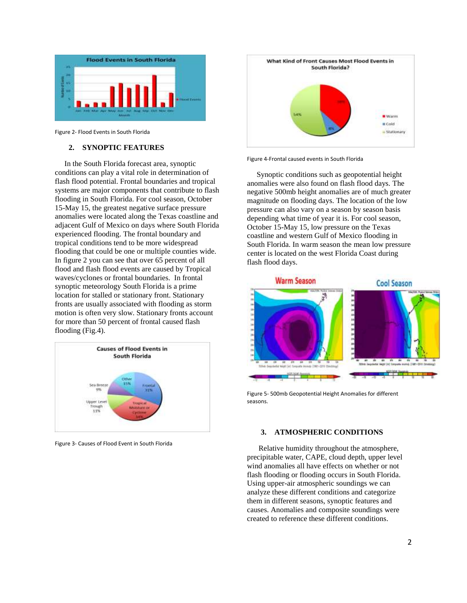

Figure 2- Flood Events in South Florida

# **2. SYNOPTIC FEATURES**

 In the South Florida forecast area, synoptic conditions can play a vital role in determination of flash flood potential. Frontal boundaries and tropical systems are major components that contribute to flash flooding in South Florida. For cool season, October 15-May 15, the greatest negative surface pressure anomalies were located along the Texas coastline and adjacent Gulf of Mexico on days where South Florida experienced flooding. The frontal boundary and tropical conditions tend to be more widespread flooding that could be one or multiple counties wide. In figure 2 you can see that over 65 percent of all flood and flash flood events are caused by Tropical waves/cyclones or frontal boundaries. In frontal synoptic meteorology South Florida is a prime location for stalled or stationary front. Stationary fronts are usually associated with flooding as storm motion is often very slow. Stationary fronts account for more than 50 percent of frontal caused flash flooding (Fig.4).



Figure 3- Causes of Flood Event in South Florida



Figure 4-Frontal caused events in South Florida

 Synoptic conditions such as geopotential height anomalies were also found on flash flood days. The negative 500mb height anomalies are of much greater magnitude on flooding days. The location of the low pressure can also vary on a season by season basis depending what time of year it is. For cool season, October 15-May 15, low pressure on the Texas coastline and western Gulf of Mexico flooding in South Florida. In warm season the mean low pressure center is located on the west Florida Coast during flash flood days.



Figure 5- 500mb Geopotential Height Anomalies for different seasons.

#### **3. ATMOSPHERIC CONDITIONS**

 Relative humidity throughout the atmosphere, precipitable water, CAPE, cloud depth, upper level wind anomalies all have effects on whether or not flash flooding or flooding occurs in South Florida. Using upper-air atmospheric soundings we can analyze these different conditions and categorize them in different seasons, synoptic features and causes. Anomalies and composite soundings were created to reference these different conditions.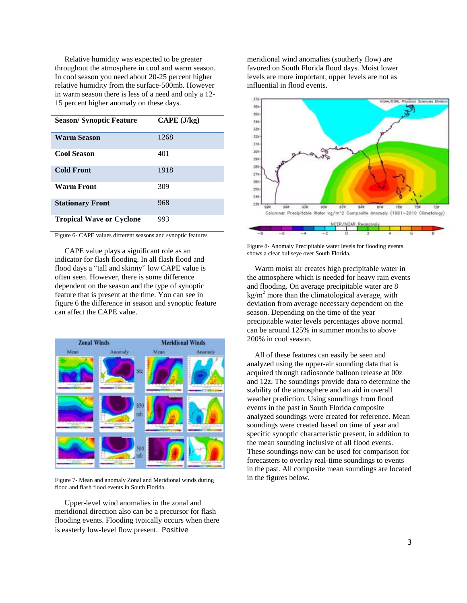Relative humidity was expected to be greater throughout the atmosphere in cool and warm season. In cool season you need about 20-25 percent higher relative humidity from the surface-500mb. However in warm season there is less of a need and only a 12- 15 percent higher anomaly on these days.

| <b>Season/Synoptic Feature</b>  | $\mathbf{CAPE}$ (J/kg) |
|---------------------------------|------------------------|
| <b>Warm Season</b>              | 1268                   |
| <b>Cool Season</b>              | 401                    |
| <b>Cold Front</b>               | 1918                   |
| Warm Front                      | 309                    |
| <b>Stationary Front</b>         | 968                    |
| <b>Tropical Wave or Cyclone</b> | 993                    |

Figure 6- CAPE values different seasons and synoptic features

 CAPE value plays a significant role as an indicator for flash flooding. In all flash flood and flood days a "tall and skinny" low CAPE value is often seen. However, there is some difference dependent on the season and the type of synoptic feature that is present at the time. You can see in figure 6 the difference in season and synoptic feature can affect the CAPE value.



Figure 7- Mean and anomaly Zonal and Meridional winds during flood and flash flood events in South Florida.

 Upper-level wind anomalies in the zonal and meridional direction also can be a precursor for flash flooding events. Flooding typically occurs when there is easterly low-level flow present. Positive

meridional wind anomalies (southerly flow) are favored on South Florida flood days. Moist lower levels are more important, upper levels are not as influential in flood events.



Figure 8- Anomaly Precipitable water levels for flooding events shows a clear bullseye over South Florida.

 Warm moist air creates high precipitable water in the atmosphere which is needed for heavy rain events and flooding. On average precipitable water are 8  $kg/m<sup>2</sup>$  more than the climatological average, with deviation from average necessary dependent on the season. Depending on the time of the year precipitable water levels percentages above normal can be around 125% in summer months to above 200% in cool season.

 All of these features can easily be seen and analyzed using the upper-air sounding data that is acquired through radiosonde balloon release at 00z and 12z. The soundings provide data to determine the stability of the atmosphere and an aid in overall weather prediction. Using soundings from flood events in the past in South Florida composite analyzed soundings were created for reference. Mean soundings were created based on time of year and specific synoptic characteristic present, in addition to the mean sounding inclusive of all flood events. These soundings now can be used for comparison for forecasters to overlay real-time soundings to events in the past. All composite mean soundings are located in the figures below.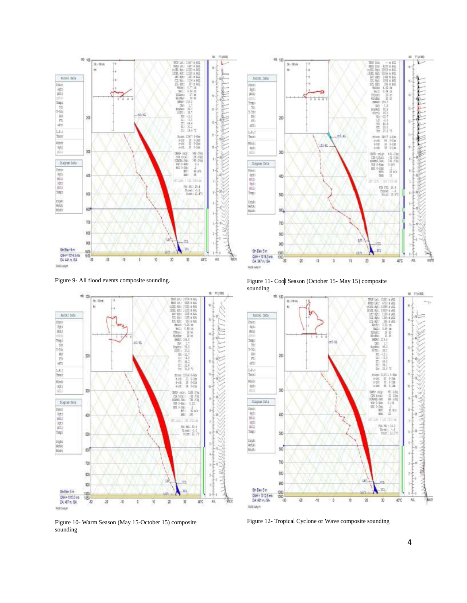

Figure 9- All flood events composite sounding.



Figure 10- Warm Season (May 15-October 15) composite sounding



Figure 11- Cool Season (October 15- May 15) composite sounding



Figure 12- Tropical Cyclone or Wave composite sounding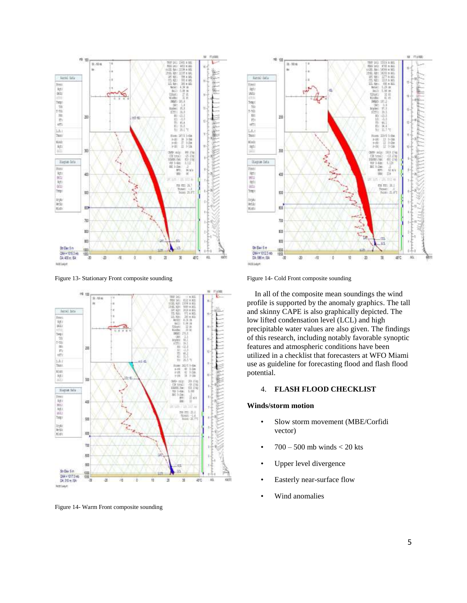

Figure 13- Stationary Front composite sounding



Figure 14- Warm Front composite sounding



Figure 14- Cold Front composite sounding

 In all of the composite mean soundings the wind profile is supported by the anomaly graphics. The tall and skinny CAPE is also graphically depicted. The low lifted condensation level (LCL) and high precipitable water values are also given. The findings of this research, including notably favorable synoptic features and atmospheric conditions have been utilized in a checklist that forecasters at WFO Miami use as guideline for forecasting flood and flash flood potential.

# 4. **FLASH FLOOD CHECKLIST**

#### **Winds/storm motion**

- Slow storm movement (MBE/Corfidi vector)
- $700 500$  mb winds  $< 20$  kts
- Upper level divergence
- Easterly near-surface flow
- Wind anomalies